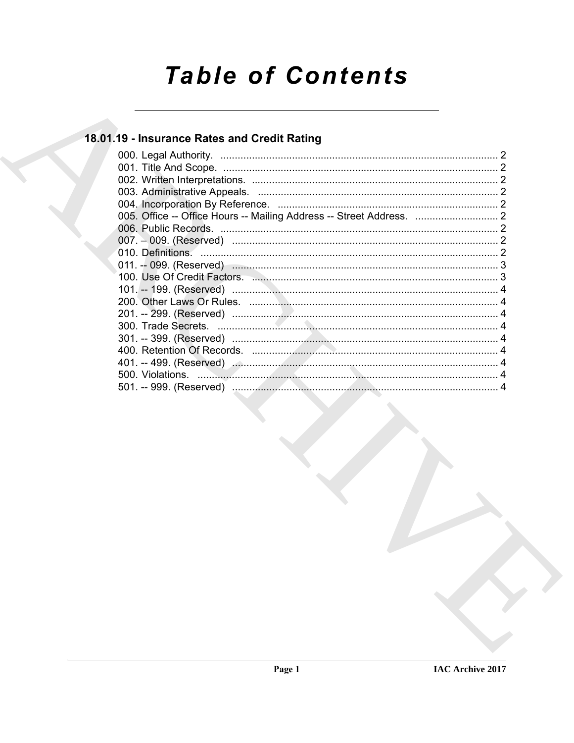# **Table of Contents**

## 18.01.19 - Insurance Rates and Credit Rating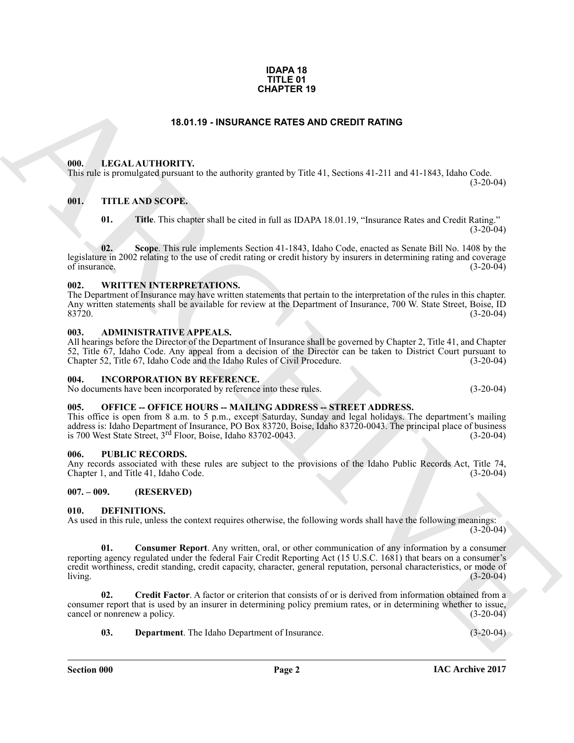#### **IDAPA 18 TITLE 01 CHAPTER 19**

### **18.01.19 - INSURANCE RATES AND CREDIT RATING**

#### <span id="page-1-1"></span><span id="page-1-0"></span>**000. LEGAL AUTHORITY.**

This rule is promulgated pursuant to the authority granted by Title 41, Sections 41-211 and 41-1843, Idaho Code.

#### <span id="page-1-2"></span>**001. TITLE AND SCOPE.**

**01. Title**. This chapter shall be cited in full as IDAPA 18.01.19, "Insurance Rates and Credit Rating."  $(3-20-04)$ 

**02. Scope**. This rule implements Section 41-1843, Idaho Code, enacted as Senate Bill No. 1408 by the legislature in 2002 relating to the use of credit rating or credit history by insurers in determining rating and coverage of insurance. of insurance.  $(3-20-04)$ 

#### <span id="page-1-3"></span>**002. WRITTEN INTERPRETATIONS.**

The Department of Insurance may have written statements that pertain to the interpretation of the rules in this chapter. Any written statements shall be available for review at the Department of Insurance, 700 W. State Street, Boise, ID<br>(3-20-04) 83720. (3-20-04)

#### <span id="page-1-4"></span>**003. ADMINISTRATIVE APPEALS.**

All hearings before the Director of the Department of Insurance shall be governed by Chapter 2, Title 41, and Chapter 52, Title 67, Idaho Code. Any appeal from a decision of the Director can be taken to District Court pursuant to Chapter 52, Title 67, Idaho Code and the Idaho Rules of Civil Procedure.

#### <span id="page-1-5"></span>**004. INCORPORATION BY REFERENCE.**

No documents have been incorporated by reference into these rules. (3-20-04)

 $(3-20-04)$ 

#### <span id="page-1-6"></span>**005. OFFICE -- OFFICE HOURS -- MAILING ADDRESS -- STREET ADDRESS.**

This office is open from 8 a.m. to 5 p.m., except Saturday, Sunday and legal holidays. The department's mailing address is: Idaho Department of Insurance, PO Box 83720, Boise, Idaho 83720-0043. The principal place of business is 700 West State Street,  $3^{rd}$  Floor, Boise, Idaho 83702-0043. (3-20-04) is 700 West State Street,  $3<sup>rd</sup>$  Floor, Boise, Idaho 83702-0043.

#### <span id="page-1-7"></span>**006. PUBLIC RECORDS.**

Any records associated with these rules are subject to the provisions of the Idaho Public Records Act, Title 74, Chapter 1, and Title 41, Idaho Code. (3-20-04) Chapter 1, and Title 41, Idaho Code.

#### <span id="page-1-8"></span>**007. – 009. (RESERVED)**

#### <span id="page-1-10"></span><span id="page-1-9"></span>**010. DEFINITIONS.**

<span id="page-1-11"></span>As used in this rule, unless the context requires otherwise, the following words shall have the following meanings:  $(3-20-04)$ 

**CHAPTER 19**<br> **ELECAL AUTIONITY.** In the authority granted by Table 41, Sections 41.211 and 41.1842, Island Code<br>
THE ARCHIVE TOWER SCOPE.<br> **ELECAL AUTIONITY:** In the authority granted by Table 41, Sections 41.211 and 41. **01. Consumer Report**. Any written, oral, or other communication of any information by a consumer reporting agency regulated under the federal Fair Credit Reporting Act (15 U.S.C. 1681) that bears on a consumer's credit worthiness, credit standing, credit capacity, character, general reputation, personal characteristics, or mode of living. (3-20-04) living. (3-20-04)

**02. Credit Factor**. A factor or criterion that consists of or is derived from information obtained from a consumer report that is used by an insurer in determining policy premium rates, or in determining whether to issue, cancel or nonrenew a policy. (3-20-04) cancel or nonrenew a policy.

<span id="page-1-13"></span><span id="page-1-12"></span>**03. Department**. The Idaho Department of Insurance. (3-20-04)

**Section 000 Page 2**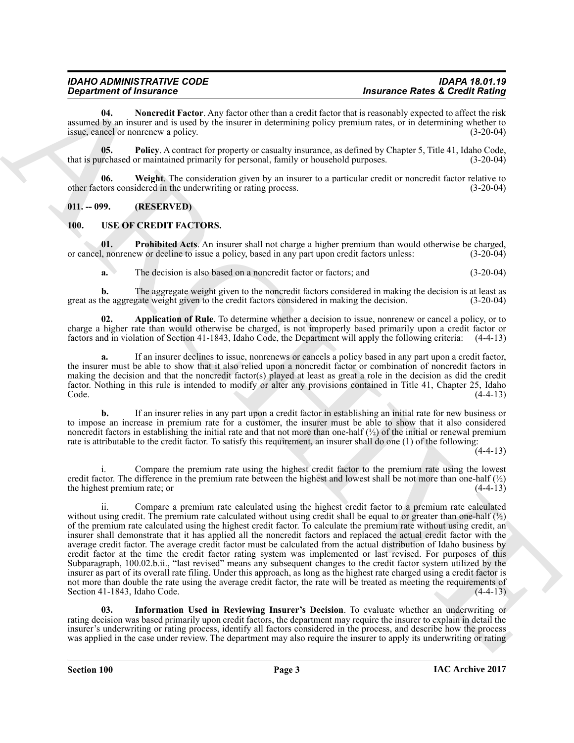<span id="page-2-2"></span>**04. Noncredit Factor**. Any factor other than a credit factor that is reasonably expected to affect the risk assumed by an insurer and is used by the insurer in determining policy premium rates, or in determining whether to issue, cancel or nonrenew a policy. (3-20-04)

<span id="page-2-3"></span>**05.** Policy. A contract for property or casualty insurance, as defined by Chapter 5, Title 41, Idaho Code, that is purchased or maintained primarily for personal, family or household purposes. (3-20-04)

<span id="page-2-4"></span>**06.** Weight. The consideration given by an insurer to a particular credit or noncredit factor relative to other factors considered in the underwriting or rating process. (3-20-04)

#### <span id="page-2-0"></span>**011. -- 099. (RESERVED)**

#### <span id="page-2-5"></span><span id="page-2-1"></span>**100. USE OF CREDIT FACTORS.**

**01.** Prohibited Acts. An insurer shall not charge a higher premium than would otherwise be charged, or cancel, nonrenew or decline to issue a policy, based in any part upon credit factors unless: (3-20-04)

<span id="page-2-8"></span><span id="page-2-6"></span>**a.** The decision is also based on a noncredit factor or factors; and  $(3-20-04)$ 

**b.** The aggregate weight given to the noncredit factors considered in making the decision is at least as the aggregate weight given to the credit factors considered in making the decision. (3-20-04) great as the aggregate weight given to the credit factors considered in making the decision.

**02. Application of Rule**. To determine whether a decision to issue, nonrenew or cancel a policy, or to charge a higher rate than would otherwise be charged, is not improperly based primarily upon a credit factor or factors and in violation of Section 41-1843, Idaho Code, the Department will apply the following criteria: (4-4-13)

**a.** If an insurer declines to issue, nonrenews or cancels a policy based in any part upon a credit factor, the insurer must be able to show that it also relied upon a noncredit factor or combination of noncredit factors in making the decision and that the noncredit factor(s) played at least as great a role in the decision as did the credit factor. Nothing in this rule is intended to modify or alter any provisions contained in Title 41, Chapter 25, Idaho  $\text{Code.}$  (4-4-13)

**b.** If an insurer relies in any part upon a credit factor in establishing an initial rate for new business or to impose an increase in premium rate for a customer, the insurer must be able to show that it also considered noncredit factors in establishing the initial rate and that not more than one-half  $\langle \frac{1}{2} \rangle$  of the initial or renewal premium rate is attributable to the credit factor. To satisfy this requirement, an insurer shall do one (1) of the following:

 $(4-4-13)$ 

Compare the premium rate using the highest credit factor to the premium rate using the lowest credit factor. The difference in the premium rate between the highest and lowest shall be not more than one-half  $\binom{1}{2}$  the highest premium rate: or the highest premium rate; or (4-4-13)

**Expansion of Francesco V-4 Total Control Control Control Control Control Control Control Control Control Control Control Control Control Control Control Control Control Control Control Control Control Control Control Con** ii. Compare a premium rate calculated using the highest credit factor to a premium rate calculated without using credit. The premium rate calculated without using credit shall be equal to or greater than one-half  $\binom{1}{2}$ of the premium rate calculated using the highest credit factor. To calculate the premium rate without using credit, an insurer shall demonstrate that it has applied all the noncredit factors and replaced the actual credit factor with the average credit factor. The average credit factor must be calculated from the actual distribution of Idaho business by credit factor at the time the credit factor rating system was implemented or last revised. For purposes of this Subparagraph, 100.02.b.ii., "last revised" means any subsequent changes to the credit factor system utilized by the insurer as part of its overall rate filing. Under this approach, as long as the highest rate charged using a credit factor is not more than double the rate using the average credit factor, the rate will be treated as meeting the requirements of Section 41-1843, Idaho Code. (4-4-13)

<span id="page-2-7"></span>**03. Information Used in Reviewing Insurer's Decision**. To evaluate whether an underwriting or rating decision was based primarily upon credit factors, the department may require the insurer to explain in detail the insurer's underwriting or rating process, identify all factors considered in the process, and describe how the process was applied in the case under review. The department may also require the insurer to apply its underwriting or rating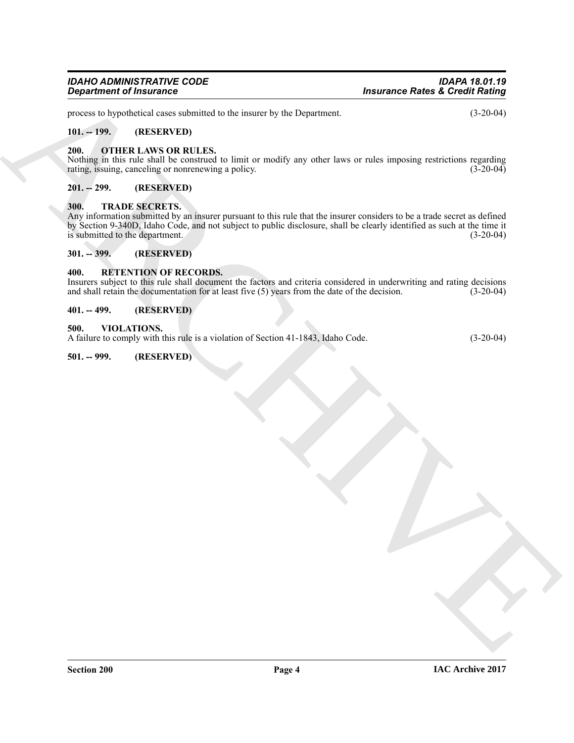## *IDAHO ADMINISTRATIVE CODE IDAPA 18.01.19*

process to hypothetical cases submitted to the insurer by the Department. (3-20-04)

#### <span id="page-3-0"></span>**101. -- 199. (RESERVED)**

#### <span id="page-3-9"></span><span id="page-3-1"></span>**200. OTHER LAWS OR RULES.**

Nothing in this rule shall be construed to limit or modify any other laws or rules imposing restrictions regarding rating, issuing, canceling or nonrenewing a policy. (3-20-04) rating, issuing, canceling or nonrenewing a policy.

#### <span id="page-3-2"></span>**201. -- 299. (RESERVED)**

#### <span id="page-3-11"></span><span id="page-3-3"></span>**300. TRADE SECRETS.**

*Considerable of Insurance*<br>  $\frac{1}{2}$ <br>  $\frac{1}{2}$ <br>  $\frac{1}{2}$ <br>  $\frac{1}{2}$ <br>  $\frac{1}{2}$ <br>  $\frac{1}{2}$ <br>  $\frac{1}{2}$ <br>  $\frac{1}{2}$ <br>  $\frac{1}{2}$ <br>  $\frac{1}{2}$ <br>  $\frac{1}{2}$ <br>  $\frac{1}{2}$ <br>  $\frac{1}{2}$ <br>  $\frac{1}{2}$ <br>  $\frac{1}{2}$ <br>  $\frac{1}{2}$ <br>  $\frac{1}{2}$ <br>  $\frac{1$ Any information submitted by an insurer pursuant to this rule that the insurer considers to be a trade secret as defined by Section 9-340D, Idaho Code, and not subject to public disclosure, shall be clearly identified as such at the time it is submitted to the department.

#### <span id="page-3-4"></span>**301. -- 399. (RESERVED)**

#### <span id="page-3-10"></span><span id="page-3-5"></span>**400. RETENTION OF RECORDS.**

Insurers subject to this rule shall document the factors and criteria considered in underwriting and rating decisions and shall retain the documentation for at least five  $(5)$  years from the date of the decision.

#### <span id="page-3-6"></span>**401. -- 499. (RESERVED)**

#### <span id="page-3-12"></span><span id="page-3-7"></span>**500. VIOLATIONS.**

A failure to comply with this rule is a violation of Section 41-1843, Idaho Code. (3-20-04)

#### <span id="page-3-8"></span>**501. -- 999. (RESERVED)**